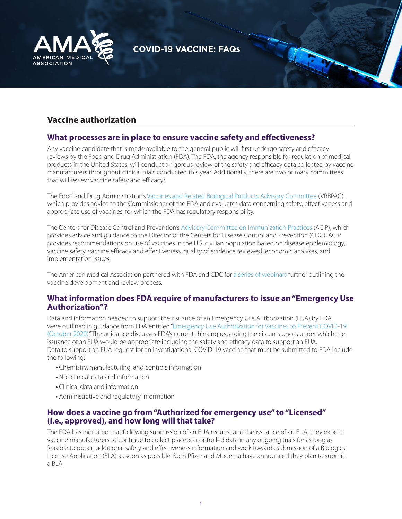

# **COVID-19 VACCINE: FAQs**

# **Vaccine authorization**

### **What processes are in place to ensure vaccine safety and effectiveness?**

Any vaccine candidate that is made available to the general public will first undergo safety and efficacy reviews by the Food and Drug Administration (FDA). The FDA, the agency responsible for regulation of medical products in the United States, will conduct a rigorous review of the safety and efficacy data collected by vaccine manufacturers throughout clinical trials conducted this year. Additionally, there are two primary committees that will review vaccine safety and efficacy:

The Food and Drug Administration's [Vaccines and Related Biological Products Advisory Committee](https://www.fda.gov/advisory-committees/blood-vaccines-and-other-biologics/vaccines-and-related-biological-products-advisory-committee) (VRBPAC), which provides advice to the Commissioner of the FDA and evaluates data concerning safety, effectiveness and appropriate use of vaccines, for which the FDA has regulatory responsibility.

The Centers for Disease Control and Prevention's [Advisory Committee on Immunization Practices](https://www.cdc.gov/vaccines/acip/index.html) (ACIP), which provides advice and guidance to the Director of the Centers for Disease Control and Prevention (CDC). ACIP provides recommendations on use of vaccines in the U.S. civilian population based on disease epidemiology, vaccine safety, vaccine efficacy and effectiveness, quality of evidence reviewed, economic analyses, and implementation issues.

The American Medical Association partnered with FDA and CDC for [a series of webinars](https://www.ama-assn.org/delivering-care/public-health/covid-19-what-physicians-need-know-webinar-series) further outlining the vaccine development and review process.

#### **What information does FDA require of manufacturers to issue an "Emergency Use Authorization"?**

Data and information needed to support the issuance of an Emergency Use Authorization (EUA) by FDA were outlined in guidance from FDA entitled ["Emergency Use Authorization for Vaccines to Prevent COVID-19](https://www.fda.gov/regulatory-information/search-fda-guidance-documents/emergency-use-authorization-vaccines-prevent-covid-19)  [\(October 2020\).](https://www.fda.gov/regulatory-information/search-fda-guidance-documents/emergency-use-authorization-vaccines-prevent-covid-19)" The guidance discusses FDA's current thinking regarding the circumstances under which the issuance of an EUA would be appropriate including the safety and efficacy data to support an EUA. Data to support an EUA request for an investigational COVID-19 vaccine that must be submitted to FDA include the following:

- Chemistry, manufacturing, and controls information
- Nonclinical data and information
- Clinical data and information
- Administrative and regulatory information

### **How does a vaccine go from "Authorized for emergency use" to "Licensed" (i.e., approved), and how long will that take?**

The FDA has indicated that following submission of an EUA request and the issuance of an EUA, they expect vaccine manufacturers to continue to collect placebo-controlled data in any ongoing trials for as long as feasible to obtain additional safety and effectiveness information and work towards submission of a Biologics License Application (BLA) as soon as possible. Both Pfizer and Moderna have announced they plan to submit a BLA.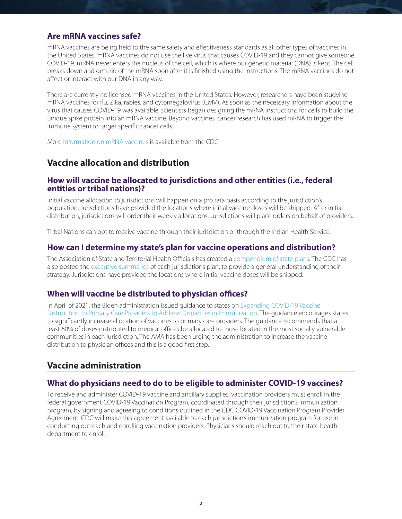## **Are mRNA vaccines safe?**

mRNA vaccines are being held to the same safety and effectiveness standards as all other types of vaccines in the United States. mRNA vaccines do not use the live virus that causes COVID-19 and they cannot give someone COVID-19. mRNA never enters the nucleus of the cell, which is where our genetic material (DNA) is kept. The cell breaks down and gets rid of the mRNA soon after it is finished using the instructions. The mRNA vaccines do not affect or interact with our DNA in any way.

There are currently no licensed mRNA vaccines in the United States. However, researchers have been studying mRNA vaccines for flu, Zika, rabies, and cytomegalovirus (CMV). As soon as the necessary information about the virus that causes COVID-19 was available, scientists began designing the mRNA instructions for cells to build the unique spike protein into an mRNA vaccine. Beyond vaccines, cancer research has used mRNA to trigger the immune system to target specific cancer cells.

More [information on mRNA vaccines](https://www.cdc.gov/coronavirus/2019-ncov/vaccines/different-vaccines/mrna.html) is available from the CDC.

# **Vaccine allocation and distribution**

### **How will vaccine be allocated to jurisdictions and other entities (i.e., federal entities or tribal nations)?**

Initial vaccine allocation to jurisdictions will happen on a pro rata basis according to the jurisdiction's population. Jurisdictions have provided the locations where initial vaccine doses will be shipped. After initial distribution, jurisdictions will order their weekly allocations. Jurisdictions will place orders on behalf of providers.

Tribal Nations can opt to receive vaccine through their jurisdiction or through the Indian Health Service.

## **How can I determine my state's plan for vaccine operations and distribution?**

The Association of State and Territorial Health Officials has created a [compendium of state plans](https://www.astho.org/COVID-19/Jurisdictional-Vaccination-Plans-Compendium/). The CDC has also posted the [executive summaries](https://www.cdc.gov/vaccines/covid-19/covid19-vaccination-guidance.html) of each jurisdictions plan, to provide a general understanding of their strategy. Jurisdictions have provided the locations where initial vaccine doses will be shipped.

## **When will vaccine be distributed to physician offices?**

In April of 2021, the Biden administration issued guidance to states on [Expanding COVID-19 Vaccine](https://www.cdc.gov/vaccines/covid-19/downloads/Guide-for-Jurisdictions-on-PCP-COVID-19-Vaccination.pdf)  [Distribution to Primary Care Providers to Address Disparities in Immunization.](https://www.cdc.gov/vaccines/covid-19/downloads/Guide-for-Jurisdictions-on-PCP-COVID-19-Vaccination.pdf) The guidance encourages states to significantly increase allocation of vaccines to primary care providers. The guidance recommends that at least 60% of doses distributed to medical offices be allocated to those located in the most socially vulnerable communities in each jurisdiction. The AMA has been urging the administration to increase the vaccine distribution to physician offices and this is a good first step.

# **Vaccine administration**

## **What do physicians need to do to be eligible to administer COVID-19 vaccines?**

To receive and administer COVID-19 vaccine and ancillary supplies, vaccination providers must enroll in the federal government COVID-19 Vaccination Program, coordinated through their jurisdiction's immunization program, by signing and agreeing to conditions outlined in the CDC COVID-19 Vaccination Program Provider Agreement. CDC will make this agreement available to each jurisdiction's immunization program for use in conducting outreach and enrolling vaccination providers. Physicians should reach out to their state health department to enroll.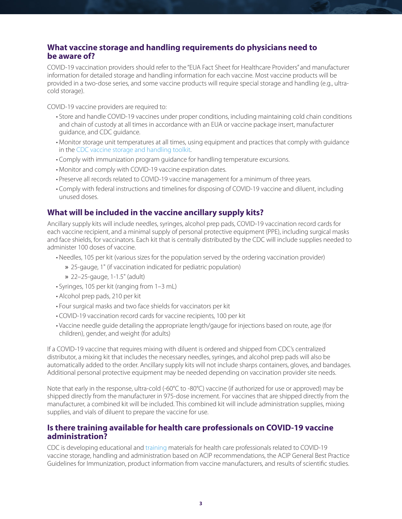# **What vaccine storage and handling requirements do physicians need to be aware of?**

COVID-19 vaccination providers should refer to the "EUA Fact Sheet for Healthcare Providers" and manufacturer information for detailed storage and handling information for each vaccine. Most vaccine products will be provided in a two-dose series, and some vaccine products will require special storage and handling (e.g., ultracold storage).

COVID-19 vaccine providers are required to:

- Store and handle COVID-19 vaccines under proper conditions, including maintaining cold chain conditions and chain of custody at all times in accordance with an EUA or vaccine package insert, manufacturer guidance, and CDC guidance.
- Monitor storage unit temperatures at all times, using equipment and practices that comply with guidance in the [CDC vaccine storage and handling toolkit](https://www.cdc.gov/vaccines/hcp/admin/storage/toolkit/storage-handling-toolkit.pdf).
- Comply with immunization program guidance for handling temperature excursions.
- Monitor and comply with COVID-19 vaccine expiration dates.
- Preserve all records related to COVID-19 vaccine management for a minimum of three years.
- Comply with federal instructions and timelines for disposing of COVID-19 vaccine and diluent, including unused doses.

## **What will be included in the vaccine ancillary supply kits?**

Ancillary supply kits will include needles, syringes, alcohol prep pads, COVID-19 vaccination record cards for each vaccine recipient, and a minimal supply of personal protective equipment (PPE), including surgical masks and face shields, for vaccinators. Each kit that is centrally distributed by the CDC will include supplies needed to administer 100 doses of vaccine.

- Needles, 105 per kit (various sizes for the population served by the ordering vaccination provider)
	- » 25-gauge, 1" (if vaccination indicated for pediatric population)
	- » 22–25-gauge, 1-1.5" (adult)
- Syringes, 105 per kit (ranging from 1–3 mL)
- Alcohol prep pads, 210 per kit
- Four surgical masks and two face shields for vaccinators per kit
- COVID-19 vaccination record cards for vaccine recipients, 100 per kit
- Vaccine needle guide detailing the appropriate length/gauge for injections based on route, age (for children), gender, and weight (for adults)

If a COVID-19 vaccine that requires mixing with diluent is ordered and shipped from CDC's centralized distributor, a mixing kit that includes the necessary needles, syringes, and alcohol prep pads will also be automatically added to the order. Ancillary supply kits will not include sharps containers, gloves, and bandages. Additional personal protective equipment may be needed depending on vaccination provider site needs.

Note that early in the response, ultra-cold (-60°C to -80°C) vaccine (if authorized for use or approved) may be shipped directly from the manufacturer in 975-dose increment. For vaccines that are shipped directly from the manufacturer, a combined kit will be included. This combined kit will include administration supplies, mixing supplies, and vials of diluent to prepare the vaccine for use.

### **Is there training available for health care professionals on COVID-19 vaccine administration?**

CDC is developing educational and [training](https://www2.cdc.gov/vaccines/ed/covid19/SHVA/00010.asp) materials for health care professionals related to COVID-19 vaccine storage, handling and administration based on ACIP recommendations, the ACIP General Best Practice Guidelines for Immunization, product information from vaccine manufacturers, and results of scientific studies.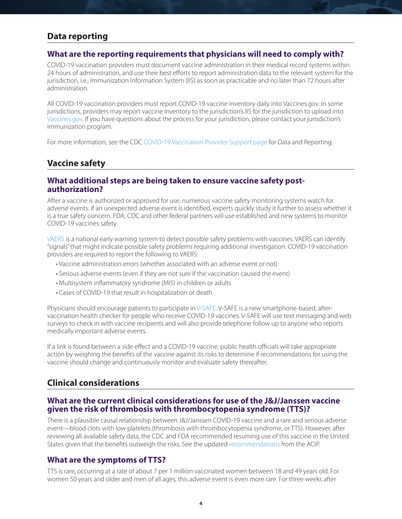# **Data reporting**

#### **What are the reporting requirements that physicians will need to comply with?**

COVID-19 vaccination providers must document vaccine administration in their medical record systems within 24 hours of administration, and use their best efforts to report administration data to the relevant system for the jurisdiction, i.e., Immunization Information System (IIS) as soon as practicable and no later than 72 hours after administration.

All COVID-19 vaccination providers must report COVID-19 vaccine inventory daily into Vaccines.gov. In some jurisdictions, providers may report vaccine inventory to the jurisdiction's IIS for the jurisdiction to upload into [Vaccines.gov](https://www.vaccines.gov/). If you have questions about the process for your jurisdiction, please contact your jurisdiction's immunization program.

For more information, see the CDC [COVID-19 Vaccination Provider Support page](https://www.cdc.gov/vaccines/covid-19/vaccination-provider-support.html) for Data and Reporting.

### **Vaccine safety**

#### **What additional steps are being taken to ensure vaccine safety postauthorization?**

After a vaccine is authorized or approved for use, numerous vaccine safety monitoring systems watch for adverse events. If an unexpected adverse event is identified, experts quickly study it further to assess whether it is a true safety concern. FDA, CDC and other federal partners will use established and new systems to monitor COVID-19 vaccines safety.

[VAERS](https://vaers.hhs.gov/) is a national early warning system to detect possible safety problems with vaccines. VAERS can identify "signals" that might indicate possible safety problems requiring additional investigation. COVID-19 vaccination providers are required to report the following to VAERS:

- Vaccine administration errors (whether associated with an adverse event or not)
- Serious adverse events (even if they are not sure if the vaccination caused the event)
- Multisystem inflammatory syndrome (MIS) in children or adults
- Cases of COVID-19 that result in hospitalization or death

Physicians should encourage patients to participate in [V-SAFE.](https://www.cdc.gov/coronavirus/2019-ncov/vaccines/safety/vsafe.html) V-SAFE is a new smartphone-based, aftervaccination health checker for people who receive COVID-19 vaccines. V-SAFE will use text messaging and web surveys to check in with vaccine recipients and will also provide telephone follow up to anyone who reports medically important adverse events.

If a link is found between a side effect and a COVID-19 vaccine, public health officials will take appropriate action by weighing the benefits of the vaccine against its risks to determine if recommendations for using the vaccine should change and continuously monitor and evaluate safety thereafter.

#### **Clinical considerations**

#### **What are the current clinical considerations for use of the J&J/Janssen vaccine given the risk of thrombosis with thrombocytopenia syndrome (TTS)?**

There is a plausible causal relationship between J&J/Janssen COVID-19 vaccine and a rare and serious adverse event—blood clots with low platelets (thrombosis with thrombocytopenia syndrome, or TTS). However, after reviewing all available safety data, the CDC and FDA recommended resuming use of this vaccine in the United States given that the benefits outweigh the risks. See the updated [recommendations](https://www.cdc.gov/mmwr/volumes/70/wr/mm7017e4.htm) from the ACIP.

#### **What are the symptoms of TTS?**

TTS is rare, occurring at a rate of about 7 per 1 million vaccinated women between 18 and 49 years old. For women 50 years and older and men of all ages, this adverse event is even more rare. For three weeks after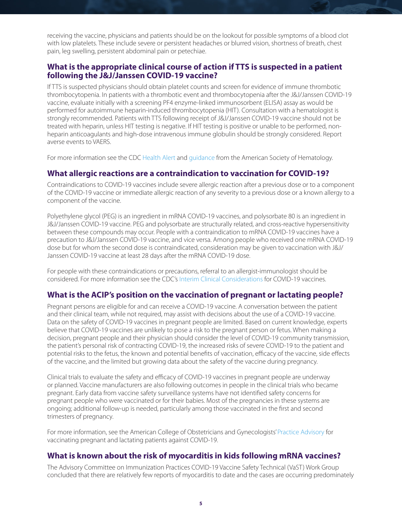receiving the vaccine, physicians and patients should be on the lookout for possible symptoms of a blood clot with low platelets. These include severe or persistent headaches or blurred vision, shortness of breath, chest pain, leg swelling, persistent abdominal pain or petechiae.

### **What is the appropriate clinical course of action if TTS is suspected in a patient following the J&J/Janssen COVID-19 vaccine?**

If TTS is suspected physicians should obtain platelet counts and screen for evidence of immune thrombotic thrombocytopenia. In patients with a thrombotic event and thrombocytopenia after the J&J/Janssen COVID-19 vaccine, evaluate initially with a screening PF4 enzyme-linked immunosorbent (ELISA) assay as would be performed for autoimmune heparin-induced thrombocytopenia (HIT). Consultation with a hematologist is strongly recommended. Patients with TTS following receipt of J&J/Janssen COVID-19 vaccine should not be treated with heparin, unless HIT testing is negative. If HIT testing is positive or unable to be performed, nonheparin anticoagulants and high-dose intravenous immune globulin should be strongly considered. Report averse events to VAERS.

For more information see the CDC [Health Alert a](https://emergency.cdc.gov/han/2021/han00442.asp)nd [guidance](https://www.hematology.org/covid-19/vaccine-induced-immune-thrombotic-thrombocytopenia) from the American Society of Hematology.

#### **What allergic reactions are a contraindication to vaccination for COVID-19?**

Contraindications to COVID-19 vaccines include severe allergic reaction after a previous dose or to a component of the COVID-19 vaccine or immediate allergic reaction of any severity to a previous dose or a known allergy to a component of the vaccine.

Polyethylene glycol (PEG) is an ingredient in mRNA COVID-19 vaccines, and polysorbate 80 is an ingredient in J&J/Janssen COVID-19 vaccine. PEG and polysorbate are structurally related, and cross-reactive hypersensitivity between these compounds may occur. People with a contraindication to mRNA COVID-19 vaccines have a precaution to J&J/Janssen COVID-19 vaccine, and vice versa. Among people who received one mRNA COVID-19 dose but for whom the second dose is contraindicated, consideration may be given to vaccination with J&J/ Janssen COVID-19 vaccine at least 28 days after the mRNA COVID-19 dose.

For people with these contraindications or precautions, referral to an allergist-immunologist should be considered. For more information see the CDC's [Interim Clinical Considerations](https://www.cdc.gov/vaccines/covid-19/info-by-product/clinical-considerations.html#Contraindications) for COVID-19 vaccines.

#### **What is the ACIP's position on the vaccination of pregnant or lactating people?**

Pregnant persons are eligible for and can receive a COVID-19 vaccine. A conversation between the patient and their clinical team, while not required, may assist with decisions about the use of a COVID-19 vaccine. Data on the safety of COVID-19 vaccines in pregnant people are limited. Based on current knowledge, experts believe that COVID-19 vaccines are unlikely to pose a risk to the pregnant person or fetus. When making a decision, pregnant people and their physician should consider the level of COVID-19 community transmission, the patient's personal risk of contracting COVID-19, the increased risks of severe COVID-19 to the patient and potential risks to the fetus, the known and potential benefits of vaccination, efficacy of the vaccine, side effects of the vaccine, and the limited but growing data about the safety of the vaccine during pregnancy.

Clinical trials to evaluate the safety and efficacy of COVID-19 vaccines in pregnant people are underway or planned. Vaccine manufacturers are also following outcomes in people in the clinical trials who became pregnant. Early data from vaccine safety surveillance systems have not identified safety concerns for pregnant people who were vaccinated or for their babies. Most of the pregnancies in these systems are ongoing; additional follow-up is needed, particularly among those vaccinated in the first and second trimesters of pregnancy.

For more information, see the American College of Obstetricians and Gynecologists' [Practice Advisory](https://www.acog.org/clinical/clinical-guidance/practice-advisory/articles/2020/12/vaccinating-pregnant-and-lactating-patients-against-covid-19) for vaccinating pregnant and lactating patients against COVID-19.

#### **What is known about the risk of myocarditis in kids following mRNA vaccines?**

The Advisory Committee on Immunization Practices COVID-19 Vaccine Safety Technical (VaST) Work Group concluded that there are relatively few reports of myocarditis to date and the cases are occurring predominately